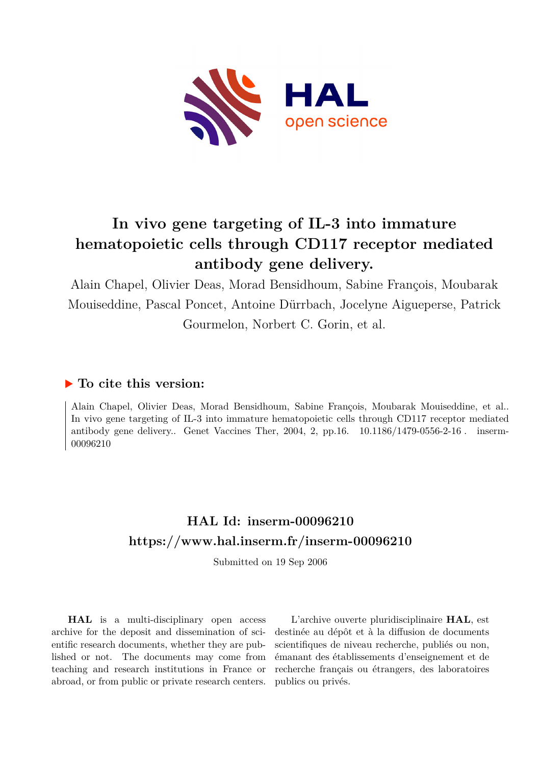

# **In vivo gene targeting of IL-3 into immature hematopoietic cells through CD117 receptor mediated antibody gene delivery.**

Alain Chapel, Olivier Deas, Morad Bensidhoum, Sabine François, Moubarak Mouiseddine, Pascal Poncet, Antoine Dürrbach, Jocelyne Aigueperse, Patrick Gourmelon, Norbert C. Gorin, et al.

# **To cite this version:**

Alain Chapel, Olivier Deas, Morad Bensidhoum, Sabine François, Moubarak Mouiseddine, et al.. In vivo gene targeting of IL-3 into immature hematopoietic cells through CD117 receptor mediated antibody gene delivery.. Genet Vaccines Ther,  $2004$ , 2, pp.16.  $10.1186/1479-0556-2-16$ . inserm-00096210ff

# **HAL Id: inserm-00096210 <https://www.hal.inserm.fr/inserm-00096210>**

Submitted on 19 Sep 2006

**HAL** is a multi-disciplinary open access archive for the deposit and dissemination of scientific research documents, whether they are published or not. The documents may come from teaching and research institutions in France or abroad, or from public or private research centers.

L'archive ouverte pluridisciplinaire **HAL**, est destinée au dépôt et à la diffusion de documents scientifiques de niveau recherche, publiés ou non, émanant des établissements d'enseignement et de recherche français ou étrangers, des laboratoires publics ou privés.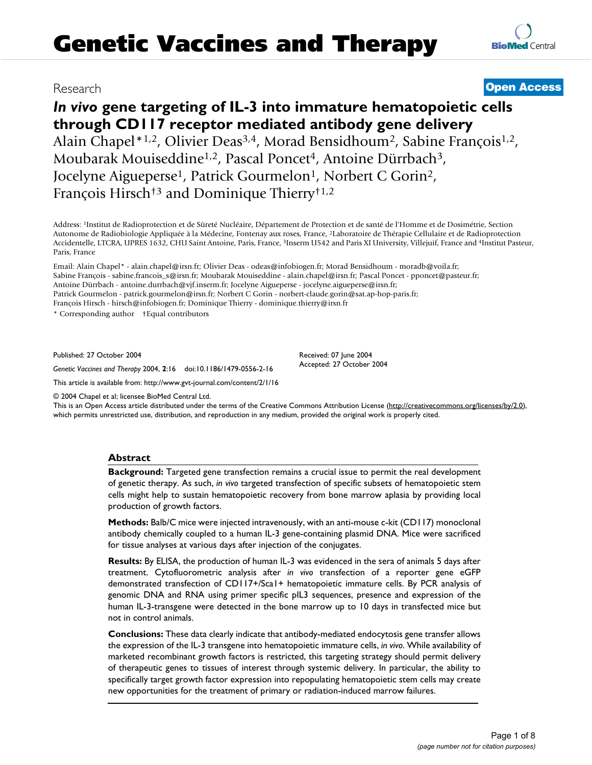# *In vivo* **gene targeting of IL-3 into immature hematopoietic cells through CD117 receptor mediated antibody gene delivery** Alain Chapel\*<sup>1,2</sup>, Olivier Deas<sup>3,4</sup>, Morad Bensidhoum<sup>2</sup>, Sabine François<sup>1,2</sup>,

Moubarak Mouiseddine<sup>1,2</sup>, Pascal Poncet<sup>4</sup>, Antoine Dürrbach<sup>3</sup>, Jocelyne Aigueperse<sup>1</sup>, Patrick Gourmelon<sup>1</sup>, Norbert C Gorin<sup>2</sup>, François Hirsch<sup>†3</sup> and Dominique Thierry<sup>†1,2</sup>

Address: <sup>1</sup>Institut de Radioprotection et de Sûreté Nucléaire, Département de Protection et de santé de l'Homme et de Dosimétrie, Section Autonome de Radiobiologie Appliquée à la Médecine, Fontenay aux roses, France, <sup>2</sup>Laboratoire de Thérapie Cellulaire et de Radioprotection Accidentelle, LTCRA, UPRES 1632, CHU Saint Antoine, Paris, France, <sup>3</sup>Inserm U542 and Paris XI University, Villejuif, France and <sup>4</sup>Institut Pasteur, Paris, France

Email: Alain Chapel\* - alain.chapel@irsn.fr; Olivier Deas - odeas@infobiogen.fr; Morad Bensidhoum - moradb@voila.fr; Sabine François - sabine.francois\_s@irsn.fr; Moubarak Mouiseddine - alain.chapel@irsn.fr; Pascal Poncet - pponcet@pasteur.fr; Antoine Dürrbach - antoine.durrbach@vjf.inserm.fr; Jocelyne Aigueperse - jocelyne.aigueperse@irsn.fr; Patrick Gourmelon - patrick.gourmelon@irsn.fr; Norbert C Gorin - norbert-claude.gorin@sat.ap-hop-paris.fr; François Hirsch - hirsch@infobiogen.fr; Dominique Thierry - dominique.thierry@irsn.fr

\* Corresponding author †Equal contributors

Published: 27 October 2004

*Genetic Vaccines and Therapy* 2004, **2**:16 doi:10.1186/1479-0556-2-16

[This article is available from: http://www.gvt-journal.com/content/2/1/16](http://www.gvt-journal.com/content/2/1/16)

© 2004 Chapel et al; licensee BioMed Central Ltd.

This is an Open Access article distributed under the terms of the Creative Commons Attribution License [\(http://creativecommons.org/licenses/by/2.0\)](http://creativecommons.org/licenses/by/2.0), which permits unrestricted use, distribution, and reproduction in any medium, provided the original work is properly cited.

#### **Abstract**

**Background:** Targeted gene transfection remains a crucial issue to permit the real development of genetic therapy. As such, *in vivo* targeted transfection of specific subsets of hematopoietic stem cells might help to sustain hematopoietic recovery from bone marrow aplasia by providing local production of growth factors.

**Methods:** Balb/C mice were injected intravenously, with an anti-mouse c-kit (CD117) monoclonal antibody chemically coupled to a human IL-3 gene-containing plasmid DNA. Mice were sacrificed for tissue analyses at various days after injection of the conjugates.

**Results:** By ELISA, the production of human IL-3 was evidenced in the sera of animals 5 days after treatment. Cytofluorometric analysis after *in vivo* transfection of a reporter gene eGFP demonstrated transfection of CD117+/Sca1+ hematopoietic immature cells. By PCR analysis of genomic DNA and RNA using primer specific pIL3 sequences, presence and expression of the human IL-3-transgene were detected in the bone marrow up to 10 days in transfected mice but not in control animals.

**Conclusions:** These data clearly indicate that antibody-mediated endocytosis gene transfer allows the expression of the IL-3 transgene into hematopoietic immature cells, *in vivo*. While availability of marketed recombinant growth factors is restricted, this targeting strategy should permit delivery of therapeutic genes to tissues of interest through systemic delivery. In particular, the ability to specifically target growth factor expression into repopulating hematopoietic stem cells may create new opportunities for the treatment of primary or radiation-induced marrow failures.

# Research **[Open Access](http://www.biomedcentral.com/info/about/charter/)**

Received: 07 June 2004 Accepted: 27 October 2004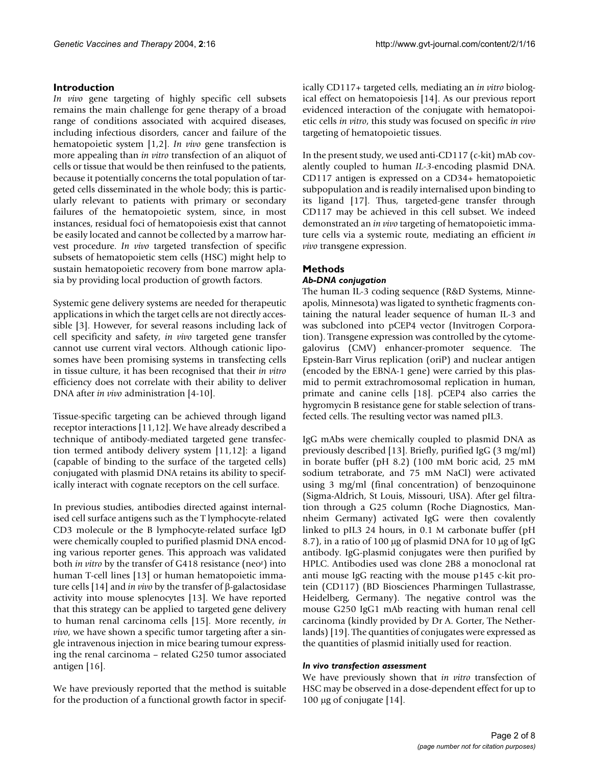### **Introduction**

*In vivo* gene targeting of highly specific cell subsets remains the main challenge for gene therapy of a broad range of conditions associated with acquired diseases, including infectious disorders, cancer and failure of the hematopoietic system [1,2]. *In vivo* gene transfection is more appealing than *in vitro* transfection of an aliquot of cells or tissue that would be then reinfused to the patients, because it potentially concerns the total population of targeted cells disseminated in the whole body; this is particularly relevant to patients with primary or secondary failures of the hematopoietic system, since, in most instances, residual foci of hematopoiesis exist that cannot be easily located and cannot be collected by a marrow harvest procedure. *In vivo* targeted transfection of specific subsets of hematopoietic stem cells (HSC) might help to sustain hematopoietic recovery from bone marrow aplasia by providing local production of growth factors.

Systemic gene delivery systems are needed for therapeutic applications in which the target cells are not directly accessible [3]. However, for several reasons including lack of cell specificity and safety, *in vivo* targeted gene transfer cannot use current viral vectors. Although cationic liposomes have been promising systems in transfecting cells in tissue culture, it has been recognised that their *in vitro* efficiency does not correlate with their ability to deliver DNA after *in vivo* administration [4-10].

Tissue-specific targeting can be achieved through ligand receptor interactions [11,12]. We have already described a technique of antibody-mediated targeted gene transfection termed antibody delivery system [11,12]: a ligand (capable of binding to the surface of the targeted cells) conjugated with plasmid DNA retains its ability to specifically interact with cognate receptors on the cell surface.

In previous studies, antibodies directed against internalised cell surface antigens such as the T lymphocyte-related CD3 molecule or the B lymphocyte-related surface IgD were chemically coupled to purified plasmid DNA encoding various reporter genes. This approach was validated both *in vitro* by the transfer of G418 resistance (neo<sup>r</sup>) into human T-cell lines [13] or human hematopoietic immature cells [14] and *in vivo* by the transfer of β-galactosidase activity into mouse splenocytes [13]. We have reported that this strategy can be applied to targeted gene delivery to human renal carcinoma cells [15]. More recently, *in vivo*, we have shown a specific tumor targeting after a single intravenous injection in mice bearing tumour expressing the renal carcinoma – related G250 tumor associated antigen [16].

We have previously reported that the method is suitable for the production of a functional growth factor in specifically CD117+ targeted cells, mediating an *in vitro* biological effect on hematopoiesis [14]. As our previous report evidenced interaction of the conjugate with hematopoietic cells *in vitro*, this study was focused on specific *in vivo* targeting of hematopoietic tissues.

In the present study, we used anti-CD117 (c-kit) mAb covalently coupled to human *IL-3*-encoding plasmid DNA. CD117 antigen is expressed on a CD34+ hematopoietic subpopulation and is readily internalised upon binding to its ligand [17]. Thus, targeted-gene transfer through CD117 may be achieved in this cell subset. We indeed demonstrated an *in vivo* targeting of hematopoietic immature cells via a systemic route, mediating an efficient *in vivo* transgene expression.

# **Methods**

# *Ab-DNA conjugation*

The human IL-3 coding sequence (R&D Systems, Minneapolis, Minnesota) was ligated to synthetic fragments containing the natural leader sequence of human IL-3 and was subcloned into pCEP4 vector (Invitrogen Corporation). Transgene expression was controlled by the cytomegalovirus (CMV) enhancer-promoter sequence. The Epstein-Barr Virus replication (oriP) and nuclear antigen (encoded by the EBNA-1 gene) were carried by this plasmid to permit extrachromosomal replication in human, primate and canine cells [18]. pCEP4 also carries the hygromycin B resistance gene for stable selection of transfected cells. The resulting vector was named pIL3.

IgG mAbs were chemically coupled to plasmid DNA as previously described [13]. Briefly, purified IgG (3 mg/ml) in borate buffer (pH 8.2) (100 mM boric acid, 25 mM sodium tetraborate, and 75 mM NaCl) were activated using 3 mg/ml (final concentration) of benzoquinone (Sigma-Aldrich, St Louis, Missouri, USA). After gel filtration through a G25 column (Roche Diagnostics, Mannheim Germany) activated IgG were then covalently linked to pIL3 24 hours, in 0.1 M carbonate buffer (pH 8.7), in a ratio of 100 µg of plasmid DNA for 10 µg of IgG antibody. IgG-plasmid conjugates were then purified by HPLC. Antibodies used was clone 2B8 a monoclonal rat anti mouse IgG reacting with the mouse p145 c-kit protein (CD117) (BD Biosciences Pharmingen Tullastrasse, Heidelberg, Germany). The negative control was the mouse G250 IgG1 mAb reacting with human renal cell carcinoma (kindly provided by Dr A. Gorter, The Netherlands) [19]. The quantities of conjugates were expressed as the quantities of plasmid initially used for reaction.

#### *In vivo transfection assessment*

We have previously shown that *in vitro* transfection of HSC may be observed in a dose-dependent effect for up to 100 µg of conjugate [14].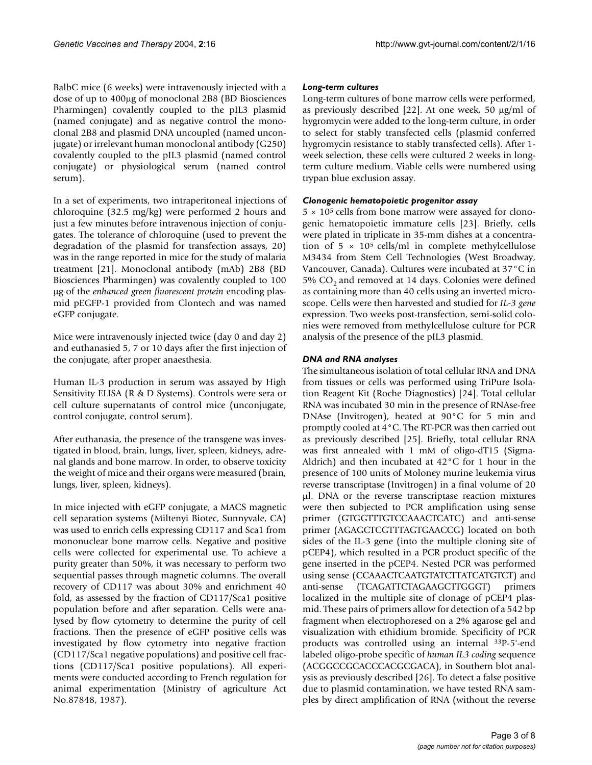BalbC mice (6 weeks) were intravenously injected with a dose of up to 400µg of monoclonal 2B8 (BD Biosciences Pharmingen) covalently coupled to the pIL3 plasmid (named conjugate) and as negative control the monoclonal 2B8 and plasmid DNA uncoupled (named unconjugate) or irrelevant human monoclonal antibody (G250) covalently coupled to the pIL3 plasmid (named control conjugate) or physiological serum (named control serum).

In a set of experiments, two intraperitoneal injections of chloroquine (32.5 mg/kg) were performed 2 hours and just a few minutes before intravenous injection of conjugates. The tolerance of chloroquine (used to prevent the degradation of the plasmid for transfection assays, 20) was in the range reported in mice for the study of malaria treatment [21]. Monoclonal antibody (mAb) 2B8 (BD Biosciences Pharmingen) was covalently coupled to 100 µg of the *enhanced green fluorescent protein* encoding plasmid pEGFP-1 provided from Clontech and was named eGFP conjugate.

Mice were intravenously injected twice (day 0 and day 2) and euthanasied 5, 7 or 10 days after the first injection of the conjugate, after proper anaesthesia.

Human IL-3 production in serum was assayed by High Sensitivity ELISA (R & D Systems). Controls were sera or cell culture supernatants of control mice (unconjugate, control conjugate, control serum).

After euthanasia, the presence of the transgene was investigated in blood, brain, lungs, liver, spleen, kidneys, adrenal glands and bone marrow. In order, to observe toxicity the weight of mice and their organs were measured (brain, lungs, liver, spleen, kidneys).

In mice injected with eGFP conjugate, a MACS magnetic cell separation systems (Miltenyi Biotec, Sunnyvale, CA) was used to enrich cells expressing CD117 and Sca1 from mononuclear bone marrow cells. Negative and positive cells were collected for experimental use. To achieve a purity greater than 50%, it was necessary to perform two sequential passes through magnetic columns. The overall recovery of CD117 was about 30% and enrichment 40 fold, as assessed by the fraction of CD117/Sca1 positive population before and after separation. Cells were analysed by flow cytometry to determine the purity of cell fractions. Then the presence of eGFP positive cells was investigated by flow cytometry into negative fraction (CD117/Sca1 negative populations) and positive cell fractions (CD117/Sca1 positive populations). All experiments were conducted according to French regulation for animal experimentation (Ministry of agriculture Act No.87848, 1987).

### *Long-term cultures*

Long-term cultures of bone marrow cells were performed, as previously described [22]. At one week, 50 µg/ml of hygromycin were added to the long-term culture, in order to select for stably transfected cells (plasmid conferred hygromycin resistance to stably transfected cells). After 1 week selection, these cells were cultured 2 weeks in longterm culture medium. Viable cells were numbered using trypan blue exclusion assay.

### *Clonogenic hematopoietic progenitor assay*

 $5 \times 10^5$  cells from bone marrow were assayed for clonogenic hematopoietic immature cells [23]. Briefly, cells were plated in triplicate in 35-mm dishes at a concentration of  $5 \times 10^5$  cells/ml in complete methylcellulose M3434 from Stem Cell Technologies (West Broadway, Vancouver, Canada). Cultures were incubated at 37°C in 5%  $CO<sub>2</sub>$  and removed at 14 days. Colonies were defined as containing more than 40 cells using an inverted microscope. Cells were then harvested and studied for *IL-3 gene* expression. Two weeks post-transfection, semi-solid colonies were removed from methylcellulose culture for PCR analysis of the presence of the pIL3 plasmid.

# *DNA and RNA analyses*

The simultaneous isolation of total cellular RNA and DNA from tissues or cells was performed using TriPure Isolation Reagent Kit (Roche Diagnostics) [24]. Total cellular RNA was incubated 30 min in the presence of RNAse-free DNAse (Invitrogen), heated at 90°C for 5 min and promptly cooled at 4°C. The RT-PCR was then carried out as previously described [25]. Briefly, total cellular RNA was first annealed with 1 mM of oligo-dT15 (Sigma-Aldrich) and then incubated at 42°C for 1 hour in the presence of 100 units of Moloney murine leukemia virus reverse transcriptase (Invitrogen) in a final volume of 20 µl. DNA or the reverse transcriptase reaction mixtures were then subjected to PCR amplification using sense primer (GTGGTTTGTCCAAACTCATC) and anti-sense primer (AGAGCTCGTTTAGTGAACCG) located on both sides of the IL-3 gene (into the multiple cloning site of pCEP4), which resulted in a PCR product specific of the gene inserted in the pCEP4. Nested PCR was performed using sense (CCAAACTCAATGTATCTTATCATGTCT) and anti-sense (TCAGATTCTAGAAGCTTGGGT) primers localized in the multiple site of clonage of pCEP4 plasmid. These pairs of primers allow for detection of a 542 bp fragment when electrophoresed on a 2% agarose gel and visualization with ethidium bromide. Specificity of PCR products was controlled using an internal <sup>33</sup>P-5'-end labeled oligo-probe specific of *human IL3 coding* sequence (ACGGCCGCACCCACGCGACA), in Southern blot analysis as previously described [26]. To detect a false positive due to plasmid contamination, we have tested RNA samples by direct amplification of RNA (without the reverse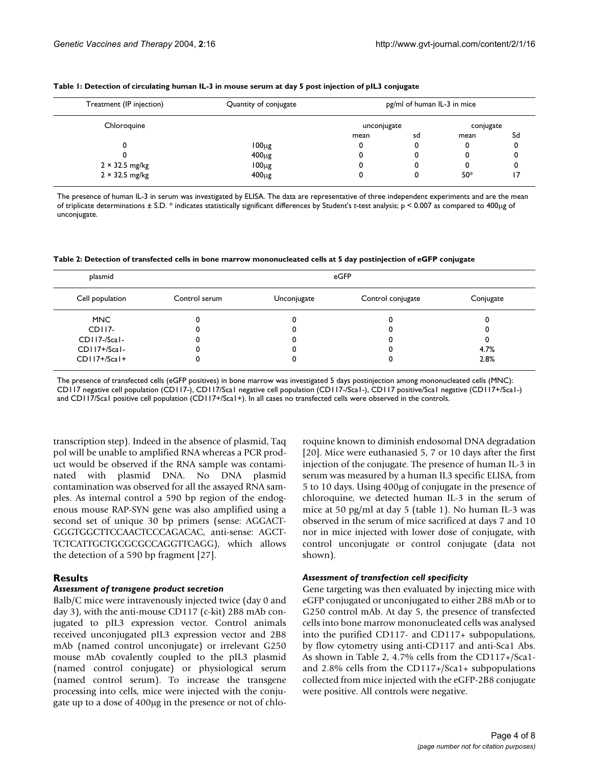| Treatment (IP injection) | Quantity of conjugate | pg/ml of human IL-3 in mice |    |           |    |
|--------------------------|-----------------------|-----------------------------|----|-----------|----|
| Chloroquine              |                       | unconjugate                 |    | conjugate |    |
|                          |                       | mean                        | sd | mean      | Sd |
|                          | $100\mug$             |                             | 0  | 0         |    |
|                          | $400\mug$             |                             | 0  | 0         |    |
| $2 \times 32.5$ mg/kg    | $100\mug$             |                             | 0  | 0         |    |
| $2 \times 32.5$ mg/kg    | $400 \mu g$           |                             | 0  | $50*$     |    |

**Table 1: Detection of circulating human IL-3 in mouse serum at day 5 post injection of pIL3 conjugate**

The presence of human IL-3 in serum was investigated by ELISA. The data are representative of three independent experiments and are the mean of triplicate determinations ± S.D. \* indicates statistically significant differences by Student's *t*-test analysis; p < 0.007 as compared to 400µg of unconjugate.

**Table 2: Detection of transfected cells in bone marrow mononucleated cells at 5 day postinjection of eGFP conjugate**

| plasmid              |               |             | eGFP              |           |
|----------------------|---------------|-------------|-------------------|-----------|
| Cell population      | Control serum | Unconjugate | Control conjugate | Conjugate |
| <b>MNC</b>           |               |             |                   |           |
| CDI17-               | υ             |             |                   |           |
| $CD$   17- $/$ Scal- |               |             |                   |           |
| $CD117 +  Scal -$    |               |             |                   | 4.7%      |
| $CD117+ Scal+$       |               |             |                   | 2.8%      |

The presence of transfected cells (eGFP positives) in bone marrow was investigated 5 days postinjection among mononucleated cells (MNC): CD117 negative cell population (CD117-), CD117/Sca1 negative cell population (CD117-/Sca1-), CD117 positive/Sca1 negative (CD117+/Sca1-) and CD117/Sca1 positive cell population (CD117+/Sca1+). In all cases no transfected cells were observed in the controls.

transcription step). Indeed in the absence of plasmid, Taq pol will be unable to amplified RNA whereas a PCR product would be observed if the RNA sample was contaminated with plasmid DNA. No DNA plasmid contamination was observed for all the assayed RNA samples. As internal control a 590 bp region of the endogenous mouse RAP-SYN gene was also amplified using a second set of unique 30 bp primers (sense: AGGACT-GGGTGGCTTCCAACTCCCAGACAC, anti-sense: AGCT-TCTCATTGCTGCGCGCCAGGTTCAGG), which allows the detection of a 590 bp fragment [27].

#### **Results**

#### *Assessment of transgene product secretion*

Balb/C mice were intravenously injected twice (day 0 and day 3), with the anti-mouse CD117 (c-kit) 2B8 mAb conjugated to pIL3 expression vector. Control animals received unconjugated pIL3 expression vector and 2B8 mAb (named control unconjugate) or irrelevant G250 mouse mAb covalently coupled to the pIL3 plasmid (named control conjugate) or physiological serum (named control serum). To increase the transgene processing into cells, mice were injected with the conjugate up to a dose of 400µg in the presence or not of chloroquine known to diminish endosomal DNA degradation [20]. Mice were euthanasied 5, 7 or 10 days after the first injection of the conjugate. The presence of human IL-3 in serum was measured by a human IL3 specific ELISA, from 5 to 10 days. Using 400µg of conjugate in the presence of chloroquine, we detected human IL-3 in the serum of mice at 50 pg/ml at day 5 (table 1). No human IL-3 was observed in the serum of mice sacrificed at days 7 and 10 nor in mice injected with lower dose of conjugate, with control unconjugate or control conjugate (data not shown).

#### *Assessment of transfection cell specificity*

Gene targeting was then evaluated by injecting mice with eGFP conjugated or unconjugated to either 2B8 mAb or to G250 control mAb. At day 5, the presence of transfected cells into bone marrow mononucleated cells was analysed into the purified CD117- and CD117+ subpopulations, by flow cytometry using anti-CD117 and anti-Sca1 Abs. As shown in Table 2, 4.7% cells from the CD117+/Sca1 and 2.8% cells from the CD117+/Sca1+ subpopulations collected from mice injected with the eGFP-2B8 conjugate were positive. All controls were negative.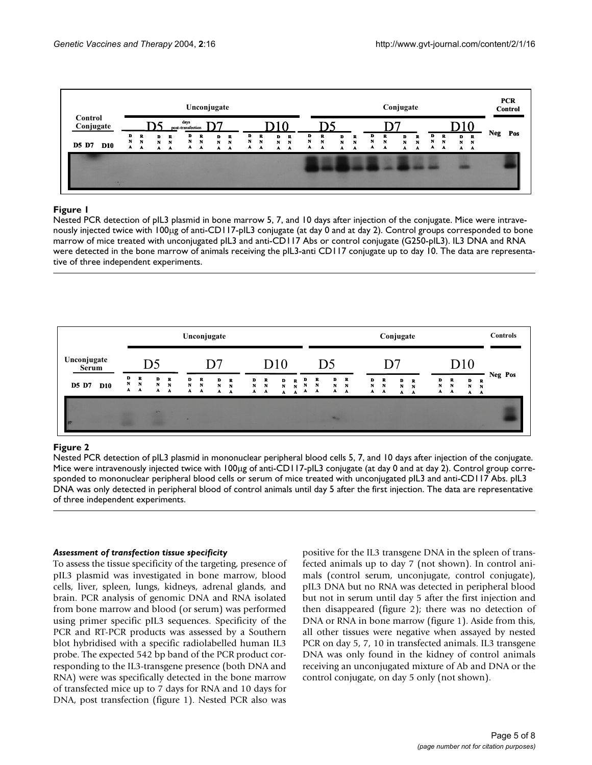

# Nested PCR detection of pIL3 plasmid in bone marrow **Figure 1** 5, 7, and 10 days after injection of the conjugate

Nested PCR detection of pIL3 plasmid in bone marrow 5, 7, and 10 days after injection of the conjugate. Mice were intravenously injected twice with 100µg of anti-CD117-pIL3 conjugate (at day 0 and at day 2). Control groups corresponded to bone marrow of mice treated with unconjugated pIL3 and anti-CD117 Abs or control conjugate (G250-pIL3). IL3 DNA and RNA were detected in the bone marrow of animals receiving the pIL3-anti CD117 conjugate up to day 10. The data are representative of three independent experiments.



### Nested PCR detection of pIL3 plasmid in **Figure 2** mononuclear peripheral blood cells 5, 7, and 10 days after injection of the conjugate

Nested PCR detection of pIL3 plasmid in mononuclear peripheral blood cells 5, 7, and 10 days after injection of the conjugate. Mice were intravenously injected twice with 100µg of anti-CD117-pIL3 conjugate (at day 0 and at day 2). Control group corresponded to mononuclear peripheral blood cells or serum of mice treated with unconjugated pIL3 and anti-CD117 Abs. pIL3 DNA was only detected in peripheral blood of control animals until day 5 after the first injection. The data are representative of three independent experiments.

### *Assessment of transfection tissue specificity*

To assess the tissue specificity of the targeting, presence of pIL3 plasmid was investigated in bone marrow, blood cells, liver, spleen, lungs, kidneys, adrenal glands, and brain. PCR analysis of genomic DNA and RNA isolated from bone marrow and blood (or serum) was performed using primer specific pIL3 sequences. Specificity of the PCR and RT-PCR products was assessed by a Southern blot hybridised with a specific radiolabelled human IL3 probe. The expected 542 bp band of the PCR product corresponding to the IL3-transgene presence (both DNA and RNA) were was specifically detected in the bone marrow of transfected mice up to 7 days for RNA and 10 days for DNA, post transfection (figure 1). Nested PCR also was positive for the IL3 transgene DNA in the spleen of transfected animals up to day 7 (not shown). In control animals (control serum, unconjugate, control conjugate), pIL3 DNA but no RNA was detected in peripheral blood but not in serum until day 5 after the first injection and then disappeared (figure 2); there was no detection of DNA or RNA in bone marrow (figure 1). Aside from this, all other tissues were negative when assayed by nested PCR on day 5, 7, 10 in transfected animals. IL3 transgene DNA was only found in the kidney of control animals receiving an unconjugated mixture of Ab and DNA or the control conjugate, on day 5 only (not shown).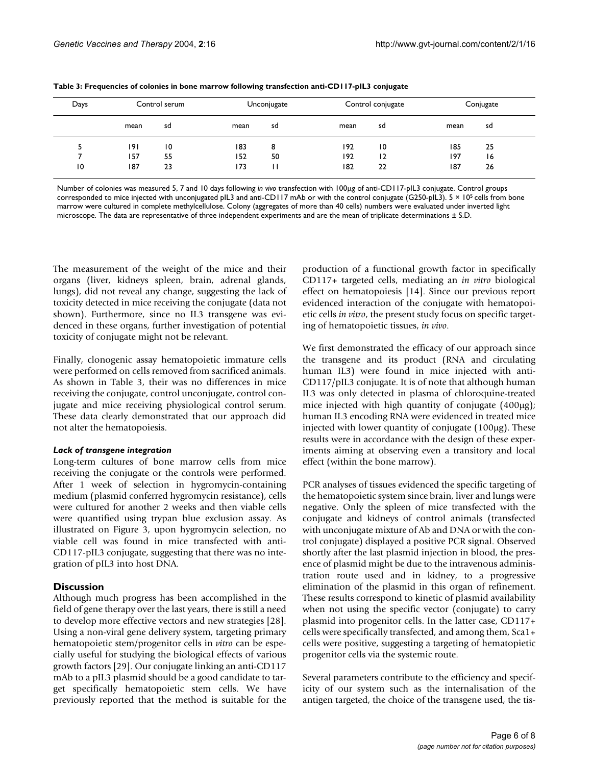| Days |      | Unconjugate<br>Control serum |      | Control conjugate |      | Conjugate       |      |    |
|------|------|------------------------------|------|-------------------|------|-----------------|------|----|
|      | mean | sd                           | mean | sd                | mean | sd              | mean | sd |
|      | 191  | 10                           | 183  | 8                 | 192  | 10              | 185  | 25 |
|      | 157  | 55                           | 152  | 50                | 192  | $\overline{12}$ | 197  | 6  |
| 10   | 187  | 23                           | 173  | н                 | 182  | 22              | 187  | 26 |

<span id="page-6-0"></span>**Table 3: Frequencies of colonies in bone marrow following transfection anti-CD117-pIL3 conjugate**

Number of colonies was measured 5, 7 and 10 days following *in vivo* transfection with 100µg of anti-CD117-pIL3 conjugate. Control groups corresponded to mice injected with unconjugated pIL3 and anti-CD117 mAb or with the control conjugate (G250-pIL3). 5 × 105 cells from bone marrow were cultured in complete methylcellulose. Colony (aggregates of more than 40 cells) numbers were evaluated under inverted light microscope. The data are representative of three independent experiments and are the mean of triplicate determinations ± S.D.

The measurement of the weight of the mice and their organs (liver, kidneys spleen, brain, adrenal glands, lungs), did not reveal any change, suggesting the lack of toxicity detected in mice receiving the conjugate (data not shown). Furthermore, since no IL3 transgene was evidenced in these organs, further investigation of potential toxicity of conjugate might not be relevant.

Finally, clonogenic assay hematopoietic immature cells were performed on cells removed from sacrificed animals. As shown in Table [3](#page-6-0), their was no differences in mice receiving the conjugate, control unconjugate, control conjugate and mice receiving physiological control serum. These data clearly demonstrated that our approach did not alter the hematopoiesis.

#### *Lack of transgene integration*

Long-term cultures of bone marrow cells from mice receiving the conjugate or the controls were performed. After 1 week of selection in hygromycin-containing medium (plasmid conferred hygromycin resistance), cells were cultured for another 2 weeks and then viable cells were quantified using trypan blue exclusion assay. As illustrated on Figure [3,](#page-7-0) upon hygromycin selection, no viable cell was found in mice transfected with anti-CD117-pIL3 conjugate, suggesting that there was no integration of pIL3 into host DNA.

#### **Discussion**

Although much progress has been accomplished in the field of gene therapy over the last years, there is still a need to develop more effective vectors and new strategies [28]. Using a non-viral gene delivery system, targeting primary hematopoietic stem/progenitor cells in *vitro* can be especially useful for studying the biological effects of various growth factors [29]. Our conjugate linking an anti-CD117 mAb to a pIL3 plasmid should be a good candidate to target specifically hematopoietic stem cells. We have previously reported that the method is suitable for the production of a functional growth factor in specifically CD117+ targeted cells, mediating an *in vitro* biological effect on hematopoiesis [14]. Since our previous report evidenced interaction of the conjugate with hematopoietic cells *in vitro*, the present study focus on specific targeting of hematopoietic tissues, *in vivo*.

We first demonstrated the efficacy of our approach since the transgene and its product (RNA and circulating human IL3) were found in mice injected with anti-CD117/pIL3 conjugate. It is of note that although human IL3 was only detected in plasma of chloroquine-treated mice injected with high quantity of conjugate (400µg); human IL3 encoding RNA were evidenced in treated mice injected with lower quantity of conjugate (100µg). These results were in accordance with the design of these experiments aiming at observing even a transitory and local effect (within the bone marrow).

PCR analyses of tissues evidenced the specific targeting of the hematopoietic system since brain, liver and lungs were negative. Only the spleen of mice transfected with the conjugate and kidneys of control animals (transfected with unconjugate mixture of Ab and DNA or with the control conjugate) displayed a positive PCR signal. Observed shortly after the last plasmid injection in blood, the presence of plasmid might be due to the intravenous administration route used and in kidney, to a progressive elimination of the plasmid in this organ of refinement. These results correspond to kinetic of plasmid availability when not using the specific vector (conjugate) to carry plasmid into progenitor cells. In the latter case, CD117+ cells were specifically transfected, and among them, Sca1+ cells were positive, suggesting a targeting of hematopietic progenitor cells via the systemic route.

Several parameters contribute to the efficiency and specificity of our system such as the internalisation of the antigen targeted, the choice of the transgene used, the tis-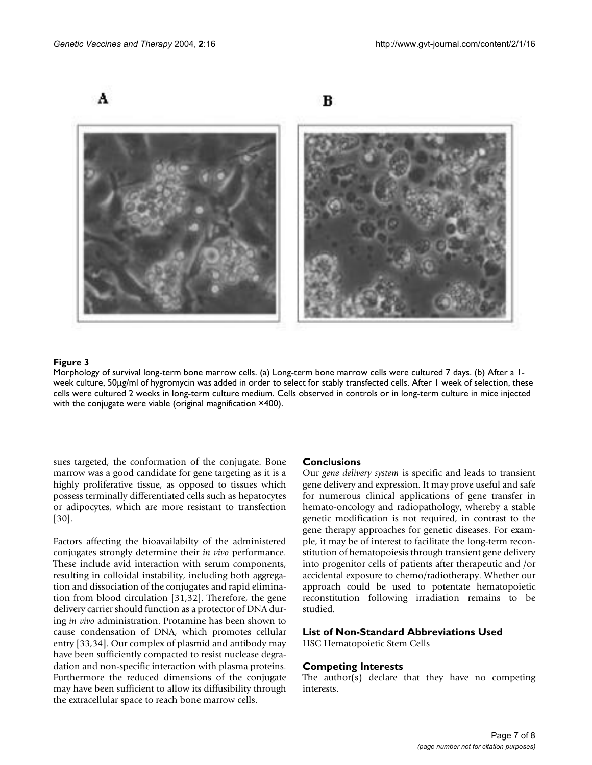<span id="page-7-0"></span>

#### Figure 3

Morphology of survival long-term bone marrow cells. (a) Long-term bone marrow cells were cultured 7 days. (b) After a 1week culture, 50μg/ml of hygromycin was added in order to select for stably transfected cells. After 1 week of selection, these cells were cultured 2 weeks in long-term culture medium. Cells observed in controls or in long-term culture in mice injected with the conjugate were viable (original magnification ×400).

sues targeted, the conformation of the conjugate. Bone marrow was a good candidate for gene targeting as it is a highly proliferative tissue, as opposed to tissues which possess terminally differentiated cells such as hepatocytes or adipocytes, which are more resistant to transfection [30].

Factors affecting the bioavailabilty of the administered conjugates strongly determine their *in vivo* performance. These include avid interaction with serum components, resulting in colloidal instability, including both aggregation and dissociation of the conjugates and rapid elimination from blood circulation [31,32]. Therefore, the gene delivery carrier should function as a protector of DNA during *in vivo* administration. Protamine has been shown to cause condensation of DNA, which promotes cellular entry [33,34]. Our complex of plasmid and antibody may have been sufficiently compacted to resist nuclease degradation and non-specific interaction with plasma proteins. Furthermore the reduced dimensions of the conjugate may have been sufficient to allow its diffusibility through the extracellular space to reach bone marrow cells.

#### **Conclusions**

Our *gene delivery system* is specific and leads to transient gene delivery and expression. It may prove useful and safe for numerous clinical applications of gene transfer in hemato-oncology and radiopathology, whereby a stable genetic modification is not required, in contrast to the gene therapy approaches for genetic diseases. For example, it may be of interest to facilitate the long-term reconstitution of hematopoiesis through transient gene delivery into progenitor cells of patients after therapeutic and /or accidental exposure to chemo/radiotherapy. Whether our approach could be used to potentate hematopoietic reconstitution following irradiation remains to be studied.

### **List of Non-Standard Abbreviations Used**

HSC Hematopoietic Stem Cells

#### **Competing Interests**

The author(s) declare that they have no competing interests.